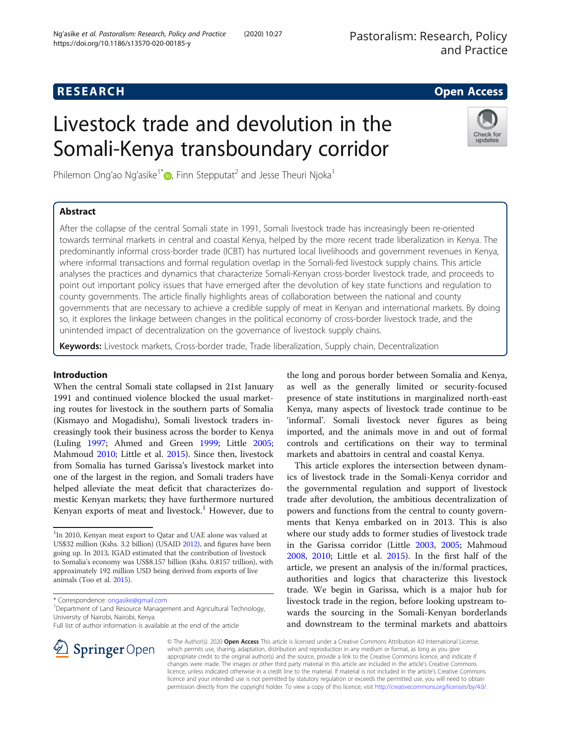# **RESEARCH CHE Open Access**

# Livestock trade and devolution in the Somali-Kenya transboundary corridor

Philemon Ong'ao Ng'asike<sup>1\*</sup> $\bullet$ [,](http://orcid.org/0000-0003-2456-5762) Finn Stepputat<sup>2</sup> and Jesse Theuri Njoka<sup>1</sup>

# Abstract



After the collapse of the central Somali state in 1991, Somali livestock trade has increasingly been re-oriented towards terminal markets in central and coastal Kenya, helped by the more recent trade liberalization in Kenya. The predominantly informal cross-border trade (ICBT) has nurtured local livelihoods and government revenues in Kenya, where informal transactions and formal regulation overlap in the Somali-fed livestock supply chains. This article analyses the practices and dynamics that characterize Somali-Kenyan cross-border livestock trade, and proceeds to point out important policy issues that have emerged after the devolution of key state functions and regulation to county governments. The article finally highlights areas of collaboration between the national and county governments that are necessary to achieve a credible supply of meat in Kenyan and international markets. By doing so, it explores the linkage between changes in the political economy of cross-border livestock trade, and the unintended impact of decentralization on the governance of livestock supply chains.

Keywords: Livestock markets, Cross-border trade, Trade liberalization, Supply chain, Decentralization

# Introduction

When the central Somali state collapsed in 21st January 1991 and continued violence blocked the usual marketing routes for livestock in the southern parts of Somalia (Kismayo and Mogadishu), Somali livestock traders increasingly took their business across the border to Kenya (Luling [1997](#page-12-0); Ahmed and Green [1999;](#page-12-0) Little [2005](#page-12-0); Mahmoud [2010;](#page-13-0) Little et al. [2015\)](#page-12-0). Since then, livestock from Somalia has turned Garissa's livestock market into one of the largest in the region, and Somali traders have helped alleviate the meat deficit that characterizes domestic Kenyan markets; they have furthermore nurtured Kenyan exports of meat and livestock.<sup>1</sup> However, due to

\* Correspondence: [ongasike@gmail.com](mailto:ongasike@gmail.com) <sup>1</sup>

 $\perp$  Springer Open

<sup>1</sup> Department of Land Resource Management and Agricultural Technology, University of Nairobi, Nairobi, Kenya

Full list of author information is available at the end of the article



This article explores the intersection between dynamics of livestock trade in the Somali-Kenya corridor and the governmental regulation and support of livestock trade after devolution, the ambitious decentralization of powers and functions from the central to county governments that Kenya embarked on in 2013. This is also where our study adds to former studies of livestock trade in the Garissa corridor (Little [2003,](#page-12-0) [2005](#page-12-0); Mahmoud [2008](#page-13-0), [2010](#page-13-0); Little et al. [2015](#page-12-0)). In the first half of the article, we present an analysis of the in/formal practices, authorities and logics that characterize this livestock trade. We begin in Garissa, which is a major hub for livestock trade in the region, before looking upstream towards the sourcing in the Somali-Kenyan borderlands and downstream to the terminal markets and abattoirs

© The Author(s). 2020 Open Access This article is licensed under a Creative Commons Attribution 4.0 International License, which permits use, sharing, adaptation, distribution and reproduction in any medium or format, as long as you give appropriate credit to the original author(s) and the source, provide a link to the Creative Commons licence, and indicate if changes were made. The images or other third party material in this article are included in the article's Creative Commons licence, unless indicated otherwise in a credit line to the material. If material is not included in the article's Creative Commons licence and your intended use is not permitted by statutory regulation or exceeds the permitted use, you will need to obtain permission directly from the copyright holder. To view a copy of this licence, visit <http://creativecommons.org/licenses/by/4.0/>.

<sup>&</sup>lt;sup>1</sup>In 2010, Kenyan meat export to Qatar and UAE alone was valued at US\$32 million (Kshs. 3.2 billion) (USAID [2012\)](#page-12-0), and figures have been going up. In 2013, IGAD estimated that the contribution of livestock to Somalia's economy was US\$8.157 billion (Kshs. 0.8157 trillion), with approximately 192 million USD being derived from exports of live animals (Too et al. [2015](#page-12-0)).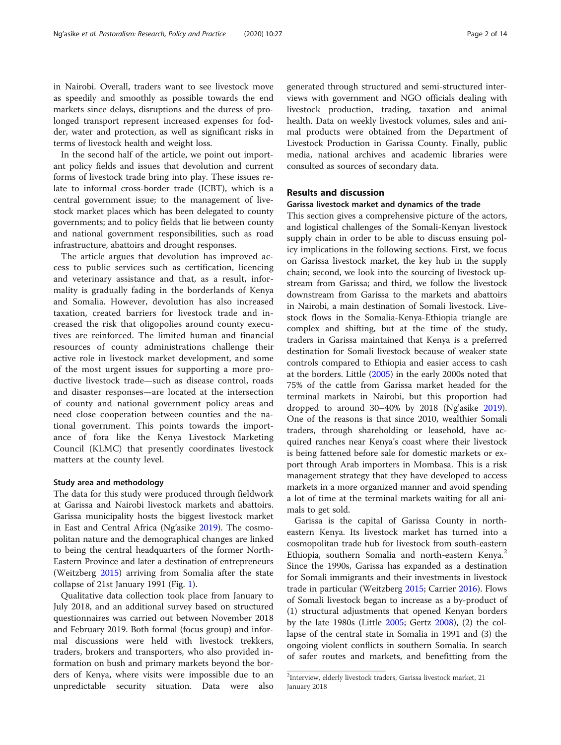in Nairobi. Overall, traders want to see livestock move as speedily and smoothly as possible towards the end markets since delays, disruptions and the duress of prolonged transport represent increased expenses for fodder, water and protection, as well as significant risks in terms of livestock health and weight loss.

In the second half of the article, we point out important policy fields and issues that devolution and current forms of livestock trade bring into play. These issues relate to informal cross-border trade (ICBT), which is a central government issue; to the management of livestock market places which has been delegated to county governments; and to policy fields that lie between county and national government responsibilities, such as road infrastructure, abattoirs and drought responses.

The article argues that devolution has improved access to public services such as certification, licencing and veterinary assistance and that, as a result, informality is gradually fading in the borderlands of Kenya and Somalia. However, devolution has also increased taxation, created barriers for livestock trade and increased the risk that oligopolies around county executives are reinforced. The limited human and financial resources of county administrations challenge their active role in livestock market development, and some of the most urgent issues for supporting a more productive livestock trade—such as disease control, roads and disaster responses—are located at the intersection of county and national government policy areas and need close cooperation between counties and the national government. This points towards the importance of fora like the Kenya Livestock Marketing Council (KLMC) that presently coordinates livestock matters at the county level.

#### Study area and methodology

The data for this study were produced through fieldwork at Garissa and Nairobi livestock markets and abattoirs. Garissa municipality hosts the biggest livestock market in East and Central Africa (Ng'asike [2019](#page-13-0)). The cosmopolitan nature and the demographical changes are linked to being the central headquarters of the former North-Eastern Province and later a destination of entrepreneurs (Weitzberg [2015](#page-13-0)) arriving from Somalia after the state collapse of 21st January 1991 (Fig. [1](#page-2-0)).

Qualitative data collection took place from January to July 2018, and an additional survey based on structured questionnaires was carried out between November 2018 and February 2019. Both formal (focus group) and informal discussions were held with livestock trekkers, traders, brokers and transporters, who also provided information on bush and primary markets beyond the borders of Kenya, where visits were impossible due to an unpredictable security situation. Data were also generated through structured and semi-structured interviews with government and NGO officials dealing with livestock production, trading, taxation and animal health. Data on weekly livestock volumes, sales and animal products were obtained from the Department of Livestock Production in Garissa County. Finally, public media, national archives and academic libraries were consulted as sources of secondary data.

#### Results and discussion

# Garissa livestock market and dynamics of the trade

This section gives a comprehensive picture of the actors, and logistical challenges of the Somali-Kenyan livestock supply chain in order to be able to discuss ensuing policy implications in the following sections. First, we focus on Garissa livestock market, the key hub in the supply chain; second, we look into the sourcing of livestock upstream from Garissa; and third, we follow the livestock downstream from Garissa to the markets and abattoirs in Nairobi, a main destination of Somali livestock. Livestock flows in the Somalia-Kenya-Ethiopia triangle are complex and shifting, but at the time of the study, traders in Garissa maintained that Kenya is a preferred destination for Somali livestock because of weaker state controls compared to Ethiopia and easier access to cash at the borders. Little ([2005](#page-12-0)) in the early 2000s noted that 75% of the cattle from Garissa market headed for the terminal markets in Nairobi, but this proportion had dropped to around 30–40% by 2018 (Ng'asike [2019](#page-13-0)). One of the reasons is that since 2010, wealthier Somali traders, through shareholding or leasehold, have acquired ranches near Kenya's coast where their livestock is being fattened before sale for domestic markets or export through Arab importers in Mombasa. This is a risk management strategy that they have developed to access markets in a more organized manner and avoid spending a lot of time at the terminal markets waiting for all animals to get sold.

Garissa is the capital of Garissa County in northeastern Kenya. Its livestock market has turned into a cosmopolitan trade hub for livestock from south-eastern Ethiopia, southern Somalia and north-eastern Kenya.<sup>2</sup> Since the 1990s, Garissa has expanded as a destination for Somali immigrants and their investments in livestock trade in particular (Weitzberg [2015](#page-13-0); Carrier [2016\)](#page-12-0). Flows of Somali livestock began to increase as a by-product of (1) structural adjustments that opened Kenyan borders by the late 1980s (Little [2005](#page-12-0); Gertz [2008\)](#page-12-0), (2) the collapse of the central state in Somalia in 1991 and (3) the ongoing violent conflicts in southern Somalia. In search of safer routes and markets, and benefitting from the

<sup>&</sup>lt;sup>2</sup>Interview, elderly livestock traders, Garissa livestock market, 21 January 2018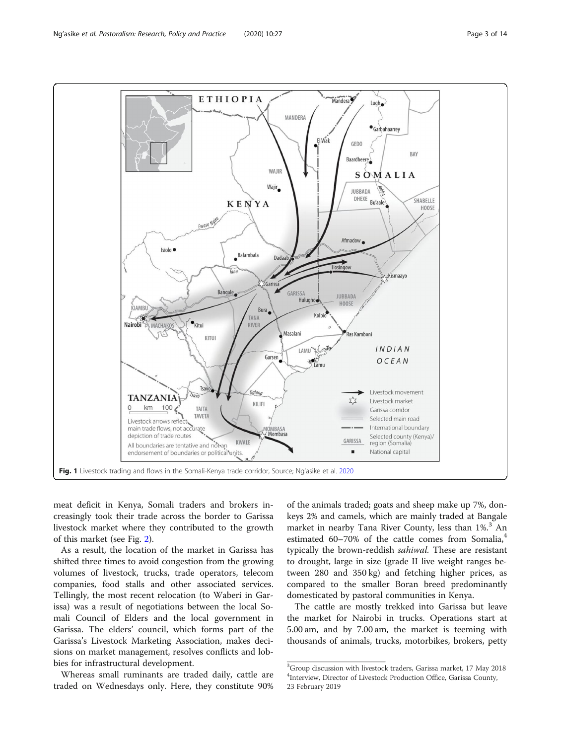<span id="page-2-0"></span>

meat deficit in Kenya, Somali traders and brokers increasingly took their trade across the border to Garissa livestock market where they contributed to the growth of this market (see Fig. [2](#page-3-0)).

As a result, the location of the market in Garissa has shifted three times to avoid congestion from the growing volumes of livestock, trucks, trade operators, telecom companies, food stalls and other associated services. Tellingly, the most recent relocation (to Waberi in Garissa) was a result of negotiations between the local Somali Council of Elders and the local government in Garissa. The elders' council, which forms part of the Garissa's Livestock Marketing Association, makes decisions on market management, resolves conflicts and lobbies for infrastructural development.

Whereas small ruminants are traded daily, cattle are traded on Wednesdays only. Here, they constitute 90% of the animals traded; goats and sheep make up 7%, donkeys 2% and camels, which are mainly traded at Bangale market in nearby Tana River County, less than 1%.<sup>3</sup> An estimated 60–70% of the cattle comes from Somalia, $4$ typically the brown-reddish sahiwal. These are resistant to drought, large in size (grade II live weight ranges between 280 and 350 kg) and fetching higher prices, as compared to the smaller Boran breed predominantly domesticated by pastoral communities in Kenya.

The cattle are mostly trekked into Garissa but leave the market for Nairobi in trucks. Operations start at 5.00 am, and by 7.00 am, the market is teeming with thousands of animals, trucks, motorbikes, brokers, petty

<sup>3</sup> Group discussion with livestock traders, Garissa market, 17 May 2018 4 Interview, Director of Livestock Production Office, Garissa County, 23 February 2019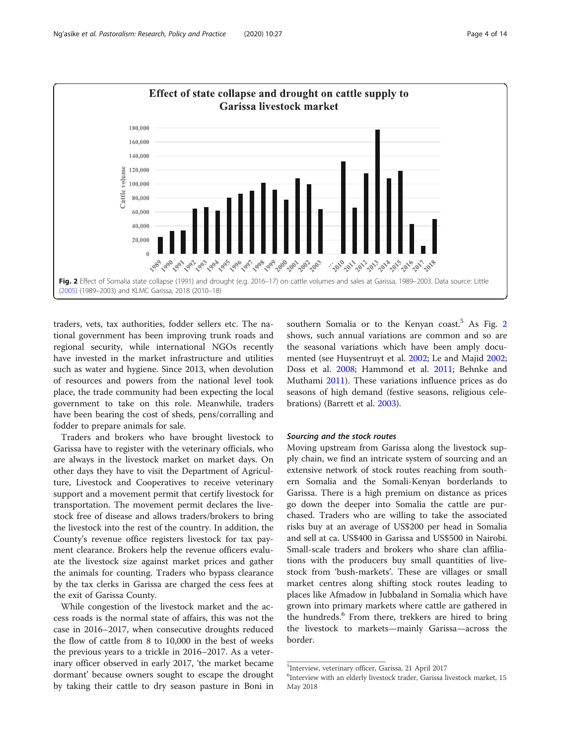<span id="page-3-0"></span>

traders, vets, tax authorities, fodder sellers etc. The national government has been improving trunk roads and regional security, while international NGOs recently have invested in the market infrastructure and utilities such as water and hygiene. Since 2013, when devolution of resources and powers from the national level took place, the trade community had been expecting the local government to take on this role. Meanwhile, traders have been bearing the cost of sheds, pens/corralling and fodder to prepare animals for sale.

Traders and brokers who have brought livestock to Garissa have to register with the veterinary officials, who are always in the livestock market on market days. On other days they have to visit the Department of Agriculture, Livestock and Cooperatives to receive veterinary support and a movement permit that certify livestock for transportation. The movement permit declares the livestock free of disease and allows traders/brokers to bring the livestock into the rest of the country. In addition, the County's revenue office registers livestock for tax payment clearance. Brokers help the revenue officers evaluate the livestock size against market prices and gather the animals for counting. Traders who bypass clearance by the tax clerks in Garissa are charged the cess fees at the exit of Garissa County.

While congestion of the livestock market and the access roads is the normal state of affairs, this was not the case in 2016–2017, when consecutive droughts reduced the flow of cattle from 8 to 10,000 in the best of weeks the previous years to a trickle in 2016–2017. As a veterinary officer observed in early 2017, 'the market became dormant' because owners sought to escape the drought by taking their cattle to dry season pasture in Boni in southern Somalia or to the Kenyan coast.<sup>5</sup> As Fig. 2 shows, such annual variations are common and so are the seasonal variations which have been amply documented (see Huysentruyt et al. [2002;](#page-12-0) Le and Majid [2002](#page-12-0); Doss et al. [2008;](#page-12-0) Hammond et al. [2011;](#page-12-0) Behnke and Muthami [2011](#page-12-0)). These variations influence prices as do seasons of high demand (festive seasons, religious celebrations) (Barrett et al. [2003\)](#page-12-0).

#### Sourcing and the stock routes

Moving upstream from Garissa along the livestock supply chain, we find an intricate system of sourcing and an extensive network of stock routes reaching from southern Somalia and the Somali-Kenyan borderlands to Garissa. There is a high premium on distance as prices go down the deeper into Somalia the cattle are purchased. Traders who are willing to take the associated risks buy at an average of US\$200 per head in Somalia and sell at ca. US\$400 in Garissa and US\$500 in Nairobi. Small-scale traders and brokers who share clan affiliations with the producers buy small quantities of livestock from 'bush-markets'. These are villages or small market centres along shifting stock routes leading to places like Afmadow in Jubbaland in Somalia which have grown into primary markets where cattle are gathered in the hundreds.<sup>6</sup> From there, trekkers are hired to bring the livestock to markets—mainly Garissa—across the border.

<sup>5</sup> Interview, veterinary officer, Garissa, 21 April 2017

<sup>&</sup>lt;sup>6</sup>Interview with an elderly livestock trader, Garissa livestock market, 15 May 2018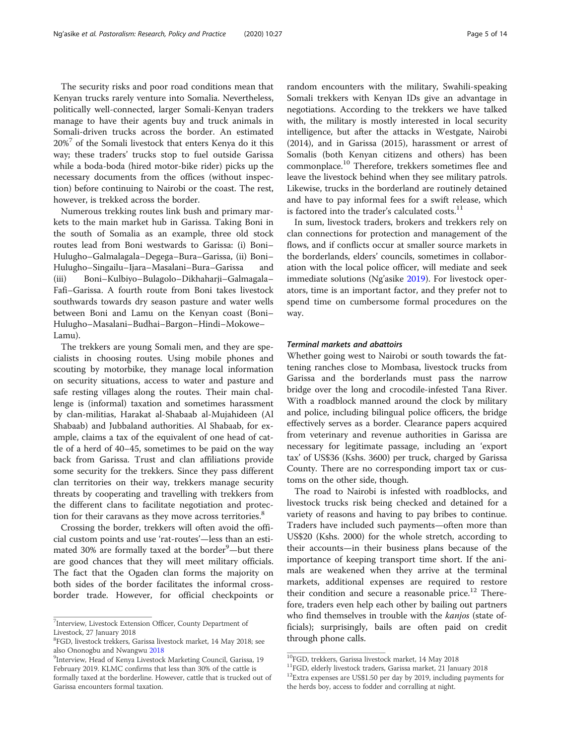The security risks and poor road conditions mean that Kenyan trucks rarely venture into Somalia. Nevertheless, politically well-connected, larger Somali-Kenyan traders manage to have their agents buy and truck animals in Somali-driven trucks across the border. An estimated 20%<sup>7</sup> of the Somali livestock that enters Kenya do it this way; these traders' trucks stop to fuel outside Garissa while a boda-boda (hired motor-bike rider) picks up the necessary documents from the offices (without inspection) before continuing to Nairobi or the coast. The rest, however, is trekked across the border.

Numerous trekking routes link bush and primary markets to the main market hub in Garissa. Taking Boni in the south of Somalia as an example, three old stock routes lead from Boni westwards to Garissa: (i) Boni– Hulugho–Galmalagala–Degega–Bura–Garissa, (ii) Boni– Hulugho–Singailu–Ijara–Masalani–Bura–Garissa and (iii) Boni–Kulbiyo–Bulagolo–Dikhaharji–Galmagala– Fafi–Garissa. A fourth route from Boni takes livestock southwards towards dry season pasture and water wells between Boni and Lamu on the Kenyan coast (Boni– Hulugho–Masalani–Budhai–Bargon–Hindi–Mokowe– Lamu).

The trekkers are young Somali men, and they are specialists in choosing routes. Using mobile phones and scouting by motorbike, they manage local information on security situations, access to water and pasture and safe resting villages along the routes. Their main challenge is (informal) taxation and sometimes harassment by clan-militias, Harakat al-Shabaab al-Mujahideen (Al Shabaab) and Jubbaland authorities. Al Shabaab, for example, claims a tax of the equivalent of one head of cattle of a herd of 40–45, sometimes to be paid on the way back from Garissa. Trust and clan affiliations provide some security for the trekkers. Since they pass different clan territories on their way, trekkers manage security threats by cooperating and travelling with trekkers from the different clans to facilitate negotiation and protection for their caravans as they move across territories.<sup>8</sup>

Crossing the border, trekkers will often avoid the official custom points and use 'rat-routes'—less than an estimated 30% are formally taxed at the border<sup>9</sup>—but there are good chances that they will meet military officials. The fact that the Ogaden clan forms the majority on both sides of the border facilitates the informal crossborder trade. However, for official checkpoints or

random encounters with the military, Swahili-speaking Somali trekkers with Kenyan IDs give an advantage in negotiations. According to the trekkers we have talked with, the military is mostly interested in local security intelligence, but after the attacks in Westgate, Nairobi (2014), and in Garissa (2015), harassment or arrest of Somalis (both Kenyan citizens and others) has been commonplace.<sup>10</sup> Therefore, trekkers sometimes flee and leave the livestock behind when they see military patrols. Likewise, trucks in the borderland are routinely detained and have to pay informal fees for a swift release, which is factored into the trader's calculated costs. $^{11}$ 

In sum, livestock traders, brokers and trekkers rely on clan connections for protection and management of the flows, and if conflicts occur at smaller source markets in the borderlands, elders' councils, sometimes in collaboration with the local police officer, will mediate and seek immediate solutions (Ng'asike [2019\)](#page-13-0). For livestock operators, time is an important factor, and they prefer not to spend time on cumbersome formal procedures on the way.

#### Terminal markets and abattoirs

Whether going west to Nairobi or south towards the fattening ranches close to Mombasa, livestock trucks from Garissa and the borderlands must pass the narrow bridge over the long and crocodile-infested Tana River. With a roadblock manned around the clock by military and police, including bilingual police officers, the bridge effectively serves as a border. Clearance papers acquired from veterinary and revenue authorities in Garissa are necessary for legitimate passage, including an 'export tax' of US\$36 (Kshs. 3600) per truck, charged by Garissa County. There are no corresponding import tax or customs on the other side, though.

The road to Nairobi is infested with roadblocks, and livestock trucks risk being checked and detained for a variety of reasons and having to pay bribes to continue. Traders have included such payments—often more than US\$20 (Kshs. 2000) for the whole stretch, according to their accounts—in their business plans because of the importance of keeping transport time short. If the animals are weakened when they arrive at the terminal markets, additional expenses are required to restore their condition and secure a reasonable price. $12$  Therefore, traders even help each other by bailing out partners who find themselves in trouble with the kanjos (state officials); surprisingly, bails are often paid on credit through phone calls.

<sup>&</sup>lt;sup>7</sup>Interview, Livestock Extension Officer, County Department of Livestock, 27 January 2018

<sup>8</sup> FGD, livestock trekkers, Garissa livestock market, 14 May 2018; see also Ononogbu and Nwangwu [2018](#page-13-0)

<sup>&</sup>lt;sup>9</sup>Interview, Head of Kenya Livestock Marketing Council, Garissa, 19 February 2019. KLMC confirms that less than 30% of the cattle is formally taxed at the borderline. However, cattle that is trucked out of Garissa encounters formal taxation.

<sup>10</sup>FGD, trekkers, Garissa livestock market, 14 May 2018

<sup>11</sup>FGD, elderly livestock traders, Garissa market, 21 January 2018

<sup>&</sup>lt;sup>12</sup>Extra expenses are US\$1.50 per day by 2019, including payments for the herds boy, access to fodder and corralling at night.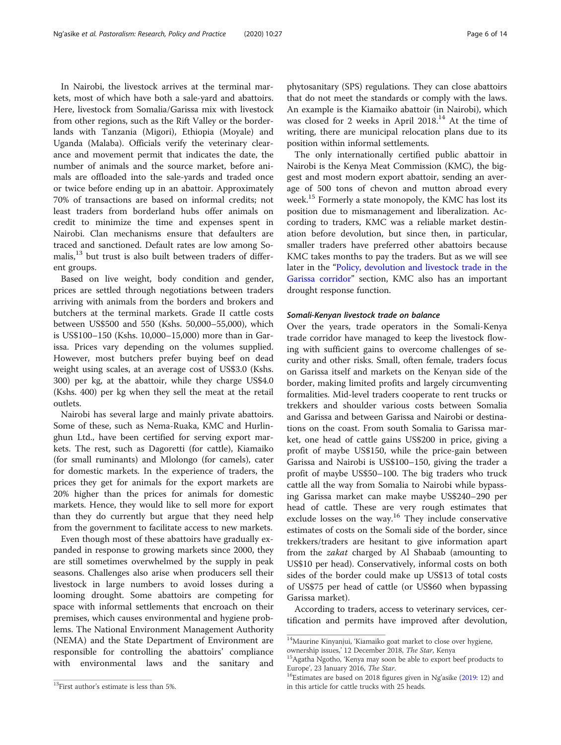In Nairobi, the livestock arrives at the terminal markets, most of which have both a sale-yard and abattoirs. Here, livestock from Somalia/Garissa mix with livestock from other regions, such as the Rift Valley or the borderlands with Tanzania (Migori), Ethiopia (Moyale) and Uganda (Malaba). Officials verify the veterinary clearance and movement permit that indicates the date, the number of animals and the source market, before animals are offloaded into the sale-yards and traded once or twice before ending up in an abattoir. Approximately 70% of transactions are based on informal credits; not least traders from borderland hubs offer animals on credit to minimize the time and expenses spent in Nairobi. Clan mechanisms ensure that defaulters are traced and sanctioned. Default rates are low among Somalis,<sup>13</sup> but trust is also built between traders of different groups.

Based on live weight, body condition and gender, prices are settled through negotiations between traders arriving with animals from the borders and brokers and butchers at the terminal markets. Grade II cattle costs between US\$500 and 550 (Kshs. 50,000–55,000), which is US\$100–150 (Kshs. 10,000–15,000) more than in Garissa. Prices vary depending on the volumes supplied. However, most butchers prefer buying beef on dead weight using scales, at an average cost of US\$3.0 (Kshs. 300) per kg, at the abattoir, while they charge US\$4.0 (Kshs. 400) per kg when they sell the meat at the retail outlets.

Nairobi has several large and mainly private abattoirs. Some of these, such as Nema-Ruaka, KMC and Hurlinghun Ltd., have been certified for serving export markets. The rest, such as Dagoretti (for cattle), Kiamaiko (for small ruminants) and Mlolongo (for camels), cater for domestic markets. In the experience of traders, the prices they get for animals for the export markets are 20% higher than the prices for animals for domestic markets. Hence, they would like to sell more for export than they do currently but argue that they need help from the government to facilitate access to new markets.

Even though most of these abattoirs have gradually expanded in response to growing markets since 2000, they are still sometimes overwhelmed by the supply in peak seasons. Challenges also arise when producers sell their livestock in large numbers to avoid losses during a looming drought. Some abattoirs are competing for space with informal settlements that encroach on their premises, which causes environmental and hygiene problems. The National Environment Management Authority (NEMA) and the State Department of Environment are responsible for controlling the abattoirs' compliance with environmental laws and the sanitary and

phytosanitary (SPS) regulations. They can close abattoirs that do not meet the standards or comply with the laws. An example is the Kiamaiko abattoir (in Nairobi), which was closed for 2 weeks in April 2018.<sup>14</sup> At the time of writing, there are municipal relocation plans due to its position within informal settlements.

The only internationally certified public abattoir in Nairobi is the Kenya Meat Commission (KMC), the biggest and most modern export abattoir, sending an average of 500 tons of chevon and mutton abroad every week.15 Formerly a state monopoly, the KMC has lost its position due to mismanagement and liberalization. According to traders, KMC was a reliable market destination before devolution, but since then, in particular, smaller traders have preferred other abattoirs because KMC takes months to pay the traders. But as we will see later in the "[Policy, devolution and livestock trade in the](#page-6-0) [Garissa corridor](#page-6-0)" section, KMC also has an important drought response function.

#### Somali-Kenyan livestock trade on balance

Over the years, trade operators in the Somali-Kenya trade corridor have managed to keep the livestock flowing with sufficient gains to overcome challenges of security and other risks. Small, often female, traders focus on Garissa itself and markets on the Kenyan side of the border, making limited profits and largely circumventing formalities. Mid-level traders cooperate to rent trucks or trekkers and shoulder various costs between Somalia and Garissa and between Garissa and Nairobi or destinations on the coast. From south Somalia to Garissa market, one head of cattle gains US\$200 in price, giving a profit of maybe US\$150, while the price-gain between Garissa and Nairobi is US\$100–150, giving the trader a profit of maybe US\$50–100. The big traders who truck cattle all the way from Somalia to Nairobi while bypassing Garissa market can make maybe US\$240–290 per head of cattle. These are very rough estimates that exclude losses on the way.<sup>16</sup> They include conservative estimates of costs on the Somali side of the border, since trekkers/traders are hesitant to give information apart from the zakat charged by Al Shabaab (amounting to US\$10 per head). Conservatively, informal costs on both sides of the border could make up US\$13 of total costs of US\$75 per head of cattle (or US\$60 when bypassing Garissa market).

According to traders, access to veterinary services, certification and permits have improved after devolution,

 $14$ Maurine Kinyanjui, 'Kiamaiko goat market to close over hygiene,

ownership issues,' 12 December 2018, *The Star*, Kenya<br><sup>15</sup>Agatha Ngotho, 'Kenya may soon be able to export beef products to<br>Europe', 23 January 2016, *The Star*.

<sup>&</sup>lt;sup>16</sup>Estimates are based on 2018 figures given in Ng'asike [\(2019:](#page-13-0) 12) and in this article for cattle trucks with 25 heads.

<sup>&</sup>lt;sup>13</sup>First author's estimate is less than 5%.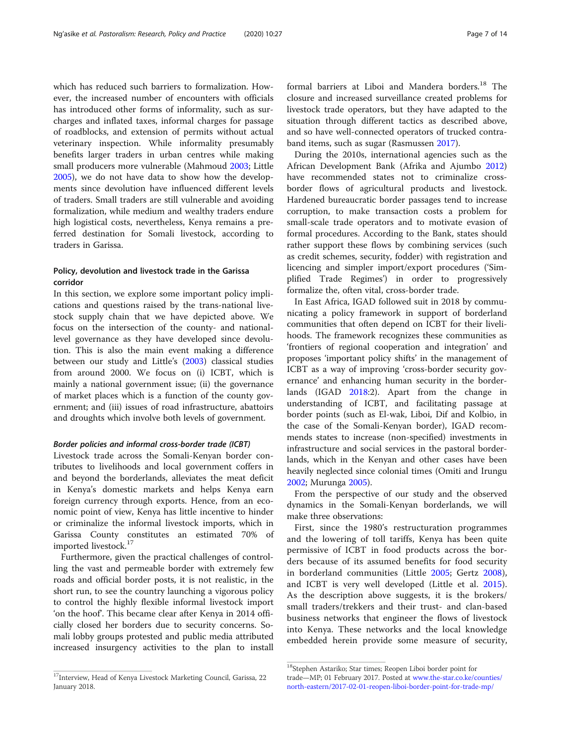<span id="page-6-0"></span>which has reduced such barriers to formalization. However, the increased number of encounters with officials has introduced other forms of informality, such as surcharges and inflated taxes, informal charges for passage of roadblocks, and extension of permits without actual veterinary inspection. While informality presumably benefits larger traders in urban centres while making small producers more vulnerable (Mahmoud [2003;](#page-12-0) Little [2005](#page-12-0)), we do not have data to show how the developments since devolution have influenced different levels of traders. Small traders are still vulnerable and avoiding formalization, while medium and wealthy traders endure high logistical costs, nevertheless, Kenya remains a preferred destination for Somali livestock, according to traders in Garissa.

### Policy, devolution and livestock trade in the Garissa corridor

In this section, we explore some important policy implications and questions raised by the trans-national livestock supply chain that we have depicted above. We focus on the intersection of the county- and nationallevel governance as they have developed since devolution. This is also the main event making a difference between our study and Little's ([2003](#page-12-0)) classical studies from around 2000. We focus on (i) ICBT, which is mainly a national government issue; (ii) the governance of market places which is a function of the county government; and (iii) issues of road infrastructure, abattoirs and droughts which involve both levels of government.

#### Border policies and informal cross-border trade (ICBT)

Livestock trade across the Somali-Kenyan border contributes to livelihoods and local government coffers in and beyond the borderlands, alleviates the meat deficit in Kenya's domestic markets and helps Kenya earn foreign currency through exports. Hence, from an economic point of view, Kenya has little incentive to hinder or criminalize the informal livestock imports, which in Garissa County constitutes an estimated 70% of imported livestock.<sup>17</sup>

Furthermore, given the practical challenges of controlling the vast and permeable border with extremely few roads and official border posts, it is not realistic, in the short run, to see the country launching a vigorous policy to control the highly flexible informal livestock import 'on the hoof'. This became clear after Kenya in 2014 officially closed her borders due to security concerns. Somali lobby groups protested and public media attributed increased insurgency activities to the plan to install formal barriers at Liboi and Mandera borders.<sup>18</sup> The closure and increased surveillance created problems for livestock trade operators, but they have adapted to the situation through different tactics as described above, and so have well-connected operators of trucked contraband items, such as sugar (Rasmussen [2017\)](#page-13-0).

During the 2010s, international agencies such as the African Development Bank (Afrika and Ajumbo [2012](#page-12-0)) have recommended states not to criminalize crossborder flows of agricultural products and livestock. Hardened bureaucratic border passages tend to increase corruption, to make transaction costs a problem for small-scale trade operators and to motivate evasion of formal procedures. According to the Bank, states should rather support these flows by combining services (such as credit schemes, security, fodder) with registration and licencing and simpler import/export procedures ('Simplified Trade Regimes') in order to progressively formalize the, often vital, cross-border trade.

In East Africa, IGAD followed suit in 2018 by communicating a policy framework in support of borderland communities that often depend on ICBT for their livelihoods. The framework recognizes these communities as 'frontiers of regional cooperation and integration' and proposes 'important policy shifts' in the management of ICBT as a way of improving 'cross-border security governance' and enhancing human security in the borderlands (IGAD [2018:](#page-12-0)2). Apart from the change in understanding of ICBT, and facilitating passage at border points (such as El-wak, Liboi, Dif and Kolbio, in the case of the Somali-Kenyan border), IGAD recommends states to increase (non-specified) investments in infrastructure and social services in the pastoral borderlands, which in the Kenyan and other cases have been heavily neglected since colonial times (Omiti and Irungu [2002](#page-13-0); Murunga [2005\)](#page-13-0).

From the perspective of our study and the observed dynamics in the Somali-Kenyan borderlands, we will make three observations:

First, since the 1980's restructuration programmes and the lowering of toll tariffs, Kenya has been quite permissive of ICBT in food products across the borders because of its assumed benefits for food security in borderland communities (Little [2005;](#page-12-0) Gertz [2008](#page-12-0)), and ICBT is very well developed (Little et al. [2015](#page-12-0)). As the description above suggests, it is the brokers/ small traders/trekkers and their trust- and clan-based business networks that engineer the flows of livestock into Kenya. These networks and the local knowledge embedded herein provide some measure of security,

 $^{17}$ Interview, Head of Kenya Livestock Marketing Council, Garissa, 22 January 2018.

<sup>18</sup>Stephen Astariko; Star times; Reopen Liboi border point for trade—MP; 01 February 2017. Posted at [www.the-star.co.ke/counties/](http://www.the-star.co.ke/counties/north-eastern/2017-02-01-reopen-liboi-border-point-for-trade-mp/) [north-eastern/2017-02-01-reopen-liboi-border-point-for-trade-mp/](http://www.the-star.co.ke/counties/north-eastern/2017-02-01-reopen-liboi-border-point-for-trade-mp/)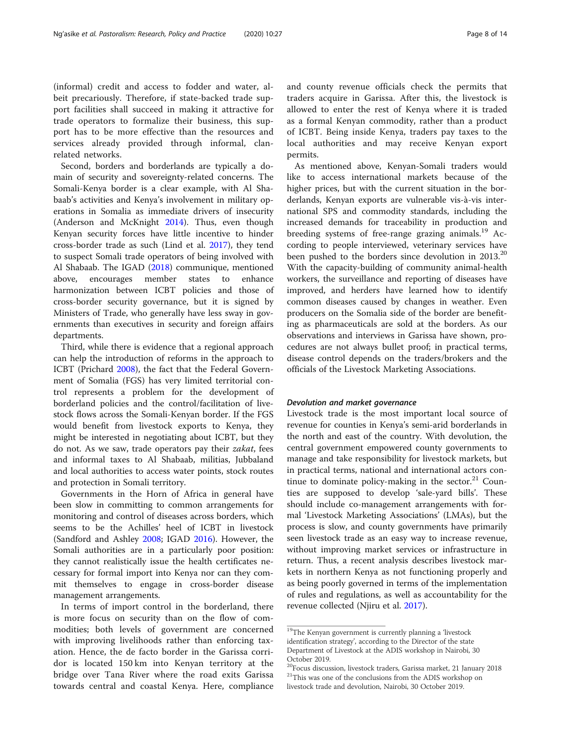(informal) credit and access to fodder and water, albeit precariously. Therefore, if state-backed trade support facilities shall succeed in making it attractive for trade operators to formalize their business, this support has to be more effective than the resources and services already provided through informal, clanrelated networks.

Second, borders and borderlands are typically a domain of security and sovereignty-related concerns. The Somali-Kenya border is a clear example, with Al Shabaab's activities and Kenya's involvement in military operations in Somalia as immediate drivers of insecurity (Anderson and McKnight [2014](#page-12-0)). Thus, even though Kenyan security forces have little incentive to hinder cross-border trade as such (Lind et al. [2017\)](#page-12-0), they tend to suspect Somali trade operators of being involved with Al Shabaab. The IGAD [\(2018](#page-12-0)) communique, mentioned above, encourages member states to enhance harmonization between ICBT policies and those of cross-border security governance, but it is signed by Ministers of Trade, who generally have less sway in governments than executives in security and foreign affairs departments.

Third, while there is evidence that a regional approach can help the introduction of reforms in the approach to ICBT (Prichard [2008\)](#page-13-0), the fact that the Federal Government of Somalia (FGS) has very limited territorial control represents a problem for the development of borderland policies and the control/facilitation of livestock flows across the Somali-Kenyan border. If the FGS would benefit from livestock exports to Kenya, they might be interested in negotiating about ICBT, but they do not. As we saw, trade operators pay their zakat, fees and informal taxes to Al Shabaab, militias, Jubbaland and local authorities to access water points, stock routes and protection in Somali territory.

Governments in the Horn of Africa in general have been slow in committing to common arrangements for monitoring and control of diseases across borders, which seems to be the Achilles' heel of ICBT in livestock (Sandford and Ashley [2008](#page-13-0); IGAD [2016\)](#page-12-0). However, the Somali authorities are in a particularly poor position: they cannot realistically issue the health certificates necessary for formal import into Kenya nor can they commit themselves to engage in cross-border disease management arrangements.

In terms of import control in the borderland, there is more focus on security than on the flow of commodities; both levels of government are concerned with improving livelihoods rather than enforcing taxation. Hence, the de facto border in the Garissa corridor is located 150 km into Kenyan territory at the bridge over Tana River where the road exits Garissa towards central and coastal Kenya. Here, compliance and county revenue officials check the permits that traders acquire in Garissa. After this, the livestock is allowed to enter the rest of Kenya where it is traded as a formal Kenyan commodity, rather than a product of ICBT. Being inside Kenya, traders pay taxes to the local authorities and may receive Kenyan export permits.

As mentioned above, Kenyan-Somali traders would like to access international markets because of the higher prices, but with the current situation in the borderlands, Kenyan exports are vulnerable vis-à-vis international SPS and commodity standards, including the increased demands for traceability in production and breeding systems of free-range grazing animals.<sup>19</sup> According to people interviewed, veterinary services have been pushed to the borders since devolution in 2013.<sup>20</sup> With the capacity-building of community animal-health workers, the surveillance and reporting of diseases have improved, and herders have learned how to identify common diseases caused by changes in weather. Even producers on the Somalia side of the border are benefiting as pharmaceuticals are sold at the borders. As our observations and interviews in Garissa have shown, procedures are not always bullet proof; in practical terms, disease control depends on the traders/brokers and the officials of the Livestock Marketing Associations.

#### Devolution and market governance

Livestock trade is the most important local source of revenue for counties in Kenya's semi-arid borderlands in the north and east of the country. With devolution, the central government empowered county governments to manage and take responsibility for livestock markets, but in practical terms, national and international actors continue to dominate policy-making in the sector. $21$  Counties are supposed to develop 'sale-yard bills'. These should include co-management arrangements with formal 'Livestock Marketing Associations' (LMAs), but the process is slow, and county governments have primarily seen livestock trade as an easy way to increase revenue, without improving market services or infrastructure in return. Thus, a recent analysis describes livestock markets in northern Kenya as not functioning properly and as being poorly governed in terms of the implementation of rules and regulations, as well as accountability for the revenue collected (Njiru et al. [2017\)](#page-13-0).

 $\rm ^{19}$  The Kenyan government is currently planning a 'livestock identification strategy', according to the Director of the state Department of Livestock at the ADIS workshop in Nairobi, 30 October 2019.

<sup>&</sup>lt;sup>20</sup>Focus discussion, livestock traders, Garissa market, 21 January 2018  $\mathrm{^{21}This}$  was one of the conclusions from the ADIS workshop on livestock trade and devolution, Nairobi, 30 October 2019.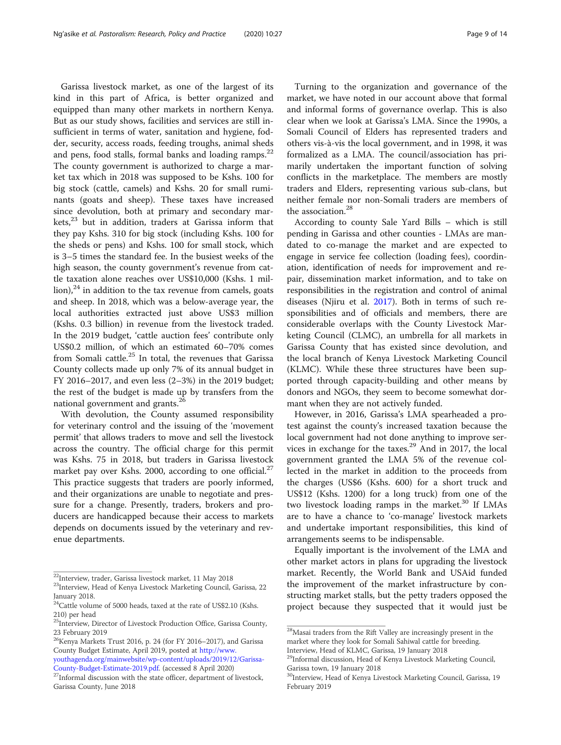Garissa livestock market, as one of the largest of its kind in this part of Africa, is better organized and equipped than many other markets in northern Kenya. But as our study shows, facilities and services are still insufficient in terms of water, sanitation and hygiene, fodder, security, access roads, feeding troughs, animal sheds and pens, food stalls, formal banks and loading ramps.<sup>22</sup> The county government is authorized to charge a market tax which in 2018 was supposed to be Kshs. 100 for big stock (cattle, camels) and Kshs. 20 for small ruminants (goats and sheep). These taxes have increased since devolution, both at primary and secondary markets,<sup>23</sup> but in addition, traders at Garissa inform that they pay Kshs. 310 for big stock (including Kshs. 100 for the sheds or pens) and Kshs. 100 for small stock, which is 3–5 times the standard fee. In the busiest weeks of the high season, the county government's revenue from cattle taxation alone reaches over US\$10,000 (Kshs. 1 mil- $\lceil$ lion), $\lceil$ <sup>24</sup> in addition to the tax revenue from camels, goats and sheep. In 2018, which was a below-average year, the local authorities extracted just above US\$3 million (Kshs. 0.3 billion) in revenue from the livestock traded. In the 2019 budget, 'cattle auction fees' contribute only US\$0.2 million, of which an estimated 60–70% comes from Somali cattle. $25$  In total, the revenues that Garissa County collects made up only 7% of its annual budget in FY 2016–2017, and even less (2–3%) in the 2019 budget; the rest of the budget is made up by transfers from the national government and grants.<sup>26</sup>

With devolution, the County assumed responsibility for veterinary control and the issuing of the 'movement permit' that allows traders to move and sell the livestock across the country. The official charge for this permit was Kshs. 75 in 2018, but traders in Garissa livestock market pay over Kshs. 2000, according to one official.<sup>27</sup> This practice suggests that traders are poorly informed, and their organizations are unable to negotiate and pressure for a change. Presently, traders, brokers and producers are handicapped because their access to markets depends on documents issued by the veterinary and revenue departments.

Turning to the organization and governance of the market, we have noted in our account above that formal and informal forms of governance overlap. This is also clear when we look at Garissa's LMA. Since the 1990s, a Somali Council of Elders has represented traders and others vis-à-vis the local government, and in 1998, it was formalized as a LMA. The council/association has primarily undertaken the important function of solving conflicts in the marketplace. The members are mostly traders and Elders, representing various sub-clans, but neither female nor non-Somali traders are members of the association.<sup>28</sup>

According to county Sale Yard Bills – which is still pending in Garissa and other counties - LMAs are mandated to co-manage the market and are expected to engage in service fee collection (loading fees), coordination, identification of needs for improvement and repair, dissemination market information, and to take on responsibilities in the registration and control of animal diseases (Njiru et al. [2017](#page-13-0)). Both in terms of such responsibilities and of officials and members, there are considerable overlaps with the County Livestock Marketing Council (CLMC), an umbrella for all markets in Garissa County that has existed since devolution, and the local branch of Kenya Livestock Marketing Council (KLMC). While these three structures have been supported through capacity-building and other means by donors and NGOs, they seem to become somewhat dormant when they are not actively funded.

However, in 2016, Garissa's LMA spearheaded a protest against the county's increased taxation because the local government had not done anything to improve services in exchange for the taxes.<sup>29</sup> And in 2017, the local government granted the LMA 5% of the revenue collected in the market in addition to the proceeds from the charges (US\$6 (Kshs. 600) for a short truck and US\$12 (Kshs. 1200) for a long truck) from one of the two livestock loading ramps in the market.<sup>30</sup> If LMAs are to have a chance to 'co-manage' livestock markets and undertake important responsibilities, this kind of arrangements seems to be indispensable.

Equally important is the involvement of the LMA and other market actors in plans for upgrading the livestock market. Recently, the World Bank and USAid funded the improvement of the market infrastructure by constructing market stalls, but the petty traders opposed the project because they suspected that it would just be

<sup>22</sup>Interview, trader, Garissa livestock market, 11 May 2018

<sup>&</sup>lt;sup>23</sup>Interview, Head of Kenya Livestock Marketing Council, Garissa, 22 January 2018.

 $24$ Cattle volume of 5000 heads, taxed at the rate of US\$2.10 (Kshs. 210) per head

<sup>&</sup>lt;sup>25</sup>Interview, Director of Livestock Production Office, Garissa County, 23 February 2019

 $^{26}$ Kenya Markets Trust 2016, p. 24 (for FY 2016–2017), and Garissa County Budget Estimate, April 2019, posted at [http://www.](http://www.youthagenda.org/mainwebsite/wp-content/uploads/2019/12/Garissa-County-Budget-Estimate-2019.pdf) [youthagenda.org/mainwebsite/wp-content/uploads/2019/12/Garissa-](http://www.youthagenda.org/mainwebsite/wp-content/uploads/2019/12/Garissa-County-Budget-Estimate-2019.pdf)

 $^{27}$ Informal discussion with the state officer, department of livestock, Garissa County, June 2018

 $^{28}\rm{M}$ isai traders from the Rift Valley are increasingly present in the market where they look for Somali Sahiwal cattle for breeding. Interview, Head of KLMC, Garissa, 19 January 2018

<sup>&</sup>lt;sup>29</sup>Informal discussion, Head of Kenya Livestock Marketing Council, Garissa town, 19 January 2018

<sup>&</sup>lt;sup>30</sup>Interview, Head of Kenya Livestock Marketing Council, Garissa, 19 February 2019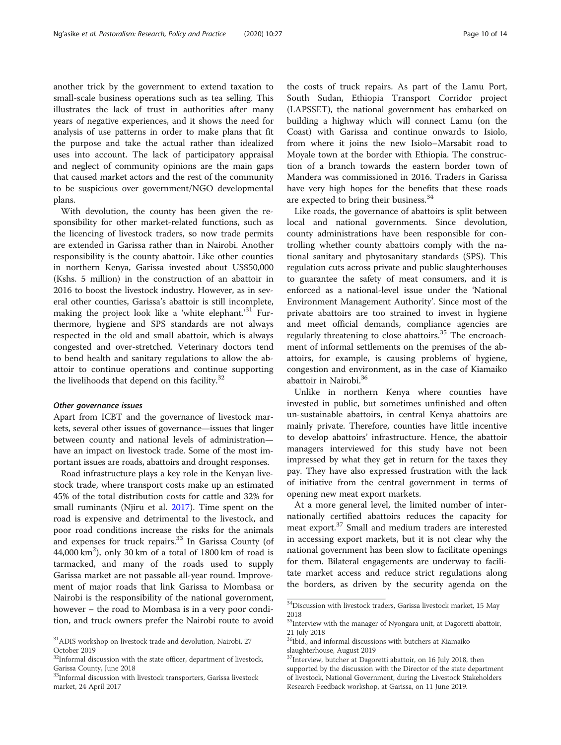another trick by the government to extend taxation to small-scale business operations such as tea selling. This illustrates the lack of trust in authorities after many years of negative experiences, and it shows the need for analysis of use patterns in order to make plans that fit the purpose and take the actual rather than idealized uses into account. The lack of participatory appraisal and neglect of community opinions are the main gaps that caused market actors and the rest of the community to be suspicious over government/NGO developmental plans.

With devolution, the county has been given the responsibility for other market-related functions, such as the licencing of livestock traders, so now trade permits are extended in Garissa rather than in Nairobi. Another responsibility is the county abattoir. Like other counties in northern Kenya, Garissa invested about US\$50,000 (Kshs. 5 million) in the construction of an abattoir in 2016 to boost the livestock industry. However, as in several other counties, Garissa's abattoir is still incomplete, making the project look like a 'white elephant.'<sup>31</sup> Furthermore, hygiene and SPS standards are not always respected in the old and small abattoir, which is always congested and over-stretched. Veterinary doctors tend to bend health and sanitary regulations to allow the abattoir to continue operations and continue supporting the livelihoods that depend on this facility. $32$ 

#### Other governance issues

Apart from ICBT and the governance of livestock markets, several other issues of governance—issues that linger between county and national levels of administration have an impact on livestock trade. Some of the most important issues are roads, abattoirs and drought responses.

Road infrastructure plays a key role in the Kenyan livestock trade, where transport costs make up an estimated 45% of the total distribution costs for cattle and 32% for small ruminants (Njiru et al. [2017\)](#page-13-0). Time spent on the road is expensive and detrimental to the livestock, and poor road conditions increase the risks for the animals and expenses for truck repairs.<sup>33</sup> In Garissa County (of  $44,000 \text{ km}^2$ ), only 30 km of a total of 1800 km of road is tarmacked, and many of the roads used to supply Garissa market are not passable all-year round. Improvement of major roads that link Garissa to Mombasa or Nairobi is the responsibility of the national government, however – the road to Mombasa is in a very poor condition, and truck owners prefer the Nairobi route to avoid

the costs of truck repairs. As part of the Lamu Port, South Sudan, Ethiopia Transport Corridor project (LAPSSET), the national government has embarked on building a highway which will connect Lamu (on the Coast) with Garissa and continue onwards to Isiolo, from where it joins the new Isiolo–Marsabit road to Moyale town at the border with Ethiopia. The construction of a branch towards the eastern border town of Mandera was commissioned in 2016. Traders in Garissa have very high hopes for the benefits that these roads are expected to bring their business.<sup>34</sup>

Like roads, the governance of abattoirs is split between local and national governments. Since devolution, county administrations have been responsible for controlling whether county abattoirs comply with the national sanitary and phytosanitary standards (SPS). This regulation cuts across private and public slaughterhouses to guarantee the safety of meat consumers, and it is enforced as a national-level issue under the 'National Environment Management Authority'. Since most of the private abattoirs are too strained to invest in hygiene and meet official demands, compliance agencies are regularly threatening to close abattoirs.<sup>35</sup> The encroachment of informal settlements on the premises of the abattoirs, for example, is causing problems of hygiene, congestion and environment, as in the case of Kiamaiko abattoir in Nairobi.36

Unlike in northern Kenya where counties have invested in public, but sometimes unfinished and often un-sustainable abattoirs, in central Kenya abattoirs are mainly private. Therefore, counties have little incentive to develop abattoirs' infrastructure. Hence, the abattoir managers interviewed for this study have not been impressed by what they get in return for the taxes they pay. They have also expressed frustration with the lack of initiative from the central government in terms of opening new meat export markets.

At a more general level, the limited number of internationally certified abattoirs reduces the capacity for meat export.<sup>37</sup> Small and medium traders are interested in accessing export markets, but it is not clear why the national government has been slow to facilitate openings for them. Bilateral engagements are underway to facilitate market access and reduce strict regulations along the borders, as driven by the security agenda on the

 $^{31}\rm{ADIS}$  workshop on livestock trade and devolution, Nairobi, 27  $\,$ October 2019

 $32$ Informal discussion with the state officer, department of livestock, Garissa County, June 2018

<sup>&</sup>lt;sup>33</sup>Informal discussion with livestock transporters, Garissa livestock market, 24 April 2017

 $\rm{^{34}Discussion}$  with livestock traders, Garissa livestock market, 15 May 2018

 $35$ Interview with the manager of Nyongara unit, at Dagoretti abattoir, 21 July 2018

 $36$ Ibid., and informal discussions with butchers at Kiamaiko slaughterhouse, August 2019

<sup>&</sup>lt;sup>37</sup>Interview, butcher at Dagoretti abattoir, on 16 July 2018, then supported by the discussion with the Director of the state department of livestock, National Government, during the Livestock Stakeholders Research Feedback workshop, at Garissa, on 11 June 2019.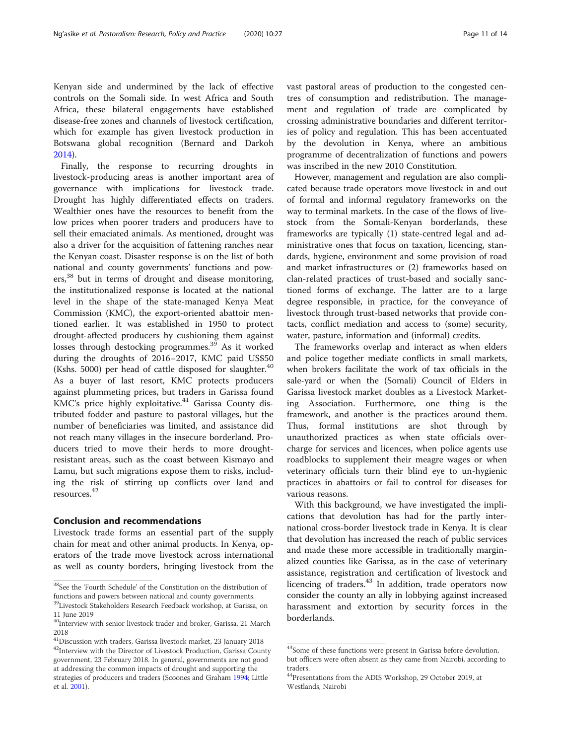Kenyan side and undermined by the lack of effective controls on the Somali side. In west Africa and South Africa, these bilateral engagements have established disease-free zones and channels of livestock certification, which for example has given livestock production in Botswana global recognition (Bernard and Darkoh [2014](#page-12-0)).

Finally, the response to recurring droughts in livestock-producing areas is another important area of governance with implications for livestock trade. Drought has highly differentiated effects on traders. Wealthier ones have the resources to benefit from the low prices when poorer traders and producers have to sell their emaciated animals. As mentioned, drought was also a driver for the acquisition of fattening ranches near the Kenyan coast. Disaster response is on the list of both national and county governments' functions and powers,<sup>38</sup> but in terms of drought and disease monitoring, the institutionalized response is located at the national level in the shape of the state-managed Kenya Meat Commission (KMC), the export-oriented abattoir mentioned earlier. It was established in 1950 to protect drought-affected producers by cushioning them against losses through destocking programmes.<sup>39</sup> As it worked during the droughts of 2016–2017, KMC paid US\$50 (Kshs. 5000) per head of cattle disposed for slaughter. $40$ As a buyer of last resort, KMC protects producers against plummeting prices, but traders in Garissa found KMC's price highly exploitative. $41$  Garissa County distributed fodder and pasture to pastoral villages, but the number of beneficiaries was limited, and assistance did not reach many villages in the insecure borderland. Producers tried to move their herds to more droughtresistant areas, such as the coast between Kismayo and Lamu, but such migrations expose them to risks, including the risk of stirring up conflicts over land and resources.<sup>42</sup>

#### Conclusion and recommendations

Livestock trade forms an essential part of the supply chain for meat and other animal products. In Kenya, operators of the trade move livestock across international as well as county borders, bringing livestock from the vast pastoral areas of production to the congested centres of consumption and redistribution. The management and regulation of trade are complicated by crossing administrative boundaries and different territories of policy and regulation. This has been accentuated by the devolution in Kenya, where an ambitious programme of decentralization of functions and powers was inscribed in the new 2010 Constitution.

However, management and regulation are also complicated because trade operators move livestock in and out of formal and informal regulatory frameworks on the way to terminal markets. In the case of the flows of livestock from the Somali-Kenyan borderlands, these frameworks are typically (1) state-centred legal and administrative ones that focus on taxation, licencing, standards, hygiene, environment and some provision of road and market infrastructures or (2) frameworks based on clan-related practices of trust-based and socially sanctioned forms of exchange. The latter are to a large degree responsible, in practice, for the conveyance of livestock through trust-based networks that provide contacts, conflict mediation and access to (some) security, water, pasture, information and (informal) credits.

The frameworks overlap and interact as when elders and police together mediate conflicts in small markets, when brokers facilitate the work of tax officials in the sale-yard or when the (Somali) Council of Elders in Garissa livestock market doubles as a Livestock Marketing Association. Furthermore, one thing is the framework, and another is the practices around them. Thus, formal institutions are shot through by unauthorized practices as when state officials overcharge for services and licences, when police agents use roadblocks to supplement their meagre wages or when veterinary officials turn their blind eye to un-hygienic practices in abattoirs or fail to control for diseases for various reasons.

With this background, we have investigated the implications that devolution has had for the partly international cross-border livestock trade in Kenya. It is clear that devolution has increased the reach of public services and made these more accessible in traditionally marginalized counties like Garissa, as in the case of veterinary assistance, registration and certification of livestock and licencing of traders.<sup>43</sup> In addition, trade operators now consider the county an ally in lobbying against increased harassment and extortion by security forces in the borderlands.

 $^{38}\rm{See}$  the 'Fourth Schedule' of the Constitution on the distribution of functions and powers between national and county governments.

<sup>&</sup>lt;sup>39</sup>Livestock Stakeholders Research Feedback workshop, at Garissa, on 11 June 2019

<sup>&</sup>lt;sup>40</sup>Interview with senior livestock trader and broker, Garissa, 21 March 2018

 $^{41}$ Discussion with traders, Garissa livestock market, 23 January 2018 <sup>42</sup>Interview with the Director of Livestock Production, Garissa County government, 23 February 2018. In general, governments are not good at addressing the common impacts of drought and supporting the strategies of producers and traders (Scoones and Graham [1994](#page-13-0); Little et al. [2001](#page-12-0)).

<sup>&</sup>lt;sup>43</sup>Some of these functions were present in Garissa before devolution, but officers were often absent as they came from Nairobi, according to traders.

<sup>&</sup>lt;sup>44</sup>Presentations from the ADIS Workshop, 29 October 2019, at Westlands, Nairobi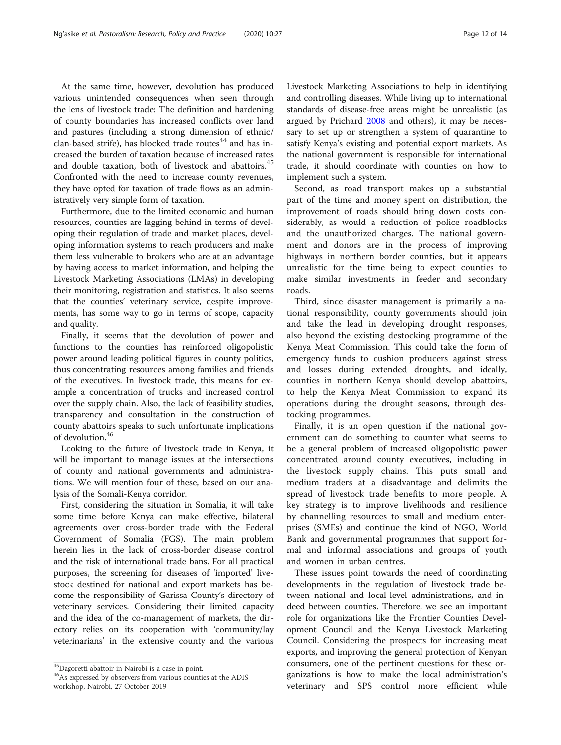At the same time, however, devolution has produced various unintended consequences when seen through the lens of livestock trade: The definition and hardening of county boundaries has increased conflicts over land and pastures (including a strong dimension of ethnic/ clan-based strife), has blocked trade routes $^{44}$  and has increased the burden of taxation because of increased rates and double taxation, both of livestock and abattoirs.<sup>45</sup> Confronted with the need to increase county revenues,

istratively very simple form of taxation. Furthermore, due to the limited economic and human resources, counties are lagging behind in terms of developing their regulation of trade and market places, developing information systems to reach producers and make them less vulnerable to brokers who are at an advantage by having access to market information, and helping the Livestock Marketing Associations (LMAs) in developing their monitoring, registration and statistics. It also seems that the counties' veterinary service, despite improvements, has some way to go in terms of scope, capacity and quality.

they have opted for taxation of trade flows as an admin-

Finally, it seems that the devolution of power and functions to the counties has reinforced oligopolistic power around leading political figures in county politics, thus concentrating resources among families and friends of the executives. In livestock trade, this means for example a concentration of trucks and increased control over the supply chain. Also, the lack of feasibility studies, transparency and consultation in the construction of county abattoirs speaks to such unfortunate implications of devolution.<sup>46</sup>

Looking to the future of livestock trade in Kenya, it will be important to manage issues at the intersections of county and national governments and administrations. We will mention four of these, based on our analysis of the Somali-Kenya corridor.

First, considering the situation in Somalia, it will take some time before Kenya can make effective, bilateral agreements over cross-border trade with the Federal Government of Somalia (FGS). The main problem herein lies in the lack of cross-border disease control and the risk of international trade bans. For all practical purposes, the screening for diseases of 'imported' livestock destined for national and export markets has become the responsibility of Garissa County's directory of veterinary services. Considering their limited capacity and the idea of the co-management of markets, the directory relies on its cooperation with 'community/lay veterinarians' in the extensive county and the various Livestock Marketing Associations to help in identifying and controlling diseases. While living up to international standards of disease-free areas might be unrealistic (as argued by Prichard [2008](#page-13-0) and others), it may be necessary to set up or strengthen a system of quarantine to satisfy Kenya's existing and potential export markets. As the national government is responsible for international trade, it should coordinate with counties on how to implement such a system.

Second, as road transport makes up a substantial part of the time and money spent on distribution, the improvement of roads should bring down costs considerably, as would a reduction of police roadblocks and the unauthorized charges. The national government and donors are in the process of improving highways in northern border counties, but it appears unrealistic for the time being to expect counties to make similar investments in feeder and secondary roads.

Third, since disaster management is primarily a national responsibility, county governments should join and take the lead in developing drought responses, also beyond the existing destocking programme of the Kenya Meat Commission. This could take the form of emergency funds to cushion producers against stress and losses during extended droughts, and ideally, counties in northern Kenya should develop abattoirs, to help the Kenya Meat Commission to expand its operations during the drought seasons, through destocking programmes.

Finally, it is an open question if the national government can do something to counter what seems to be a general problem of increased oligopolistic power concentrated around county executives, including in the livestock supply chains. This puts small and medium traders at a disadvantage and delimits the spread of livestock trade benefits to more people. A key strategy is to improve livelihoods and resilience by channelling resources to small and medium enterprises (SMEs) and continue the kind of NGO, World Bank and governmental programmes that support formal and informal associations and groups of youth and women in urban centres.

These issues point towards the need of coordinating developments in the regulation of livestock trade between national and local-level administrations, and indeed between counties. Therefore, we see an important role for organizations like the Frontier Counties Development Council and the Kenya Livestock Marketing Council. Considering the prospects for increasing meat exports, and improving the general protection of Kenyan consumers, one of the pertinent questions for these organizations is how to make the local administration's veterinary and SPS control more efficient while

<sup>45</sup>Dagoretti abattoir in Nairobi is a case in point.

<sup>46</sup>As expressed by observers from various counties at the ADIS workshop, Nairobi, 27 October 2019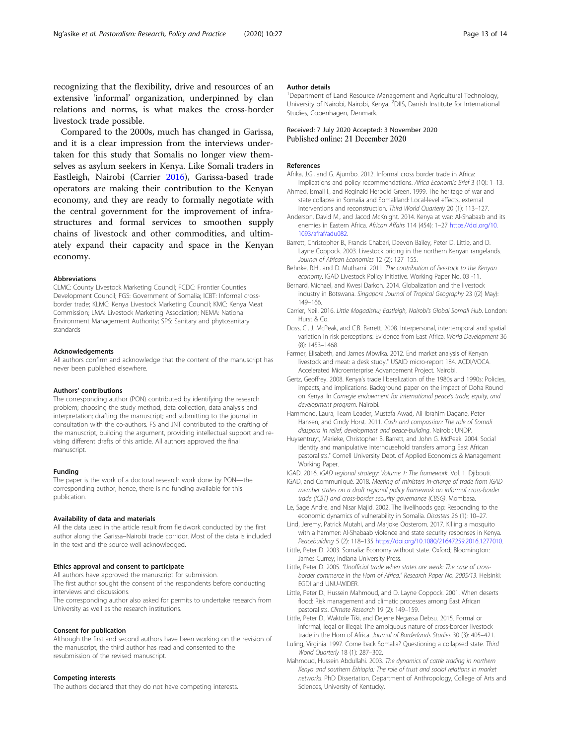<span id="page-12-0"></span>recognizing that the flexibility, drive and resources of an extensive 'informal' organization, underpinned by clan relations and norms, is what makes the cross-border livestock trade possible.

Compared to the 2000s, much has changed in Garissa, and it is a clear impression from the interviews undertaken for this study that Somalis no longer view themselves as asylum seekers in Kenya. Like Somali traders in Eastleigh, Nairobi (Carrier 2016), Garissa-based trade operators are making their contribution to the Kenyan economy, and they are ready to formally negotiate with the central government for the improvement of infrastructures and formal services to smoothen supply chains of livestock and other commodities, and ultimately expand their capacity and space in the Kenyan economy.

#### Abbreviations

CLMC: County Livestock Marketing Council; FCDC: Frontier Counties Development Council; FGS: Government of Somalia; ICBT: Informal crossborder trade; KLMC: Kenya Livestock Marketing Council; KMC: Kenya Meat Commission; LMA: Livestock Marketing Association; NEMA: National Environment Management Authority; SPS: Sanitary and phytosanitary standards

#### Acknowledgements

All authors confirm and acknowledge that the content of the manuscript has never been published elsewhere.

#### Authors' contributions

The corresponding author (PON) contributed by identifying the research problem; choosing the study method, data collection, data analysis and interpretation; drafting the manuscript; and submitting to the journal in consultation with the co-authors. FS and JNT contributed to the drafting of the manuscript, building the argument, providing intellectual support and revising different drafts of this article. All authors approved the final manuscript.

#### Funding

The paper is the work of a doctoral research work done by PON—the corresponding author; hence, there is no funding available for this publication.

#### Availability of data and materials

All the data used in the article result from fieldwork conducted by the first author along the Garissa–Nairobi trade corridor. Most of the data is included in the text and the source well acknowledged.

#### Ethics approval and consent to participate

All authors have approved the manuscript for submission. The first author sought the consent of the respondents before conducting

interviews and discussions.

The corresponding author also asked for permits to undertake research from University as well as the research institutions.

#### Consent for publication

Although the first and second authors have been working on the revision of the manuscript, the third author has read and consented to the resubmission of the revised manuscript.

#### Competing interests

The authors declared that they do not have competing interests.

#### Author details

<sup>1</sup>Department of Land Resource Management and Agricultural Technology, University of Nairobi, Nairobi, Kenya. <sup>2</sup>DIIS, Danish Institute for International Studies, Copenhagen, Denmark.

#### Received: 7 July 2020 Accepted: 3 November 2020 Published online: 21 December 2020

#### References

- Afrika, J.G., and G. Ajumbo. 2012. Informal cross border trade in Africa: Implications and policy recommendations. Africa Economic Brief 3 (10): 1–13.
- Ahmed, Ismail I., and Reginald Herbold Green. 1999. The heritage of war and state collapse in Somalia and Somaliland: Local-level effects, external interventions and reconstruction. Third World Quarterly 20 (1): 113–127.
- Anderson, David M., and Jacod McKnight. 2014. Kenya at war: Al-Shabaab and its enemies in Eastern Africa. African Affairs 114 (454): 1-27 [https://doi.org/10.](https://doi.org/10.1093/afraf/adu082) [1093/afraf/adu082](https://doi.org/10.1093/afraf/adu082).
- Barrett, Christopher B., Francis Chabari, Deevon Bailey, Peter D. Little, and D. Layne Coppock. 2003. Livestock pricing in the northern Kenyan rangelands. Journal of African Economies 12 (2): 127–155.
- Behnke, R.H., and D. Muthami. 2011. The contribution of livestock to the Kenyan economy. IGAD Livestock Policy Initiative. Working Paper No. 03 -11.
- Bernard, Michael, and Kwesi Darkoh. 2014. Globalization and the livestock industry in Botswana. Singapore Journal of Tropical Geography 23 ((2) May): 149–166.
- Carrier, Neil. 2016. Little Mogadishu; Eastleigh, Nairobi's Global Somali Hub. London: Hurst & Co.
- Doss, C., J. McPeak, and C.B. Barrett. 2008. Interpersonal, intertemporal and spatial variation in risk perceptions: Evidence from East Africa. World Development 36 (8): 1453–1468.
- Farmer, Elisabeth, and James Mbwika. 2012. End market analysis of Kenyan livestock and meat: a desk study." USAID micro-report 184. ACDI/VOCA. Accelerated Microenterprise Advancement Project. Nairobi.
- Gertz, Geoffrey. 2008. Kenya's trade liberalization of the 1980s and 1990s: Policies, impacts, and implications. Background paper on the impact of Doha Round on Kenya. In Carnegie endowment for international peace's trade, equity, and development program. Nairobi.
- Hammond, Laura, Team Leader, Mustafa Awad, Ali Ibrahim Dagane, Peter Hansen, and Cindy Horst. 2011. Cash and compassion: The role of Somali diaspora in relief, development and peace-building. Nairobi: UNDP.
- Huysentruyt, Marieke, Christopher B. Barrett, and John G. McPeak. 2004. Social identity and manipulative interhousehold transfers among East African pastoralists." Cornell University Dept. of Applied Economics & Management Working Paper.
- IGAD. 2016. IGAD regional strategy: Volume 1: The framework. Vol. 1. Djibouti.
- IGAD, and Communiqué. 2018. Meeting of ministers in-charge of trade from IGAD member states on a draft regional policy framework on informal cross-border trade (ICBT) and cross-border security governance (CBSG). Mombasa.
- Le, Sage Andre, and Nisar Majid. 2002. The livelihoods gap: Responding to the economic dynamics of vulnerability in Somalia. Disasters 26 (1): 10–27.
- Lind, Jeremy, Patrick Mutahi, and Marjoke Oosterom. 2017. Killing a mosquito with a hammer: Al-Shabaab violence and state security responses in Kenya. Peacebuilding 5 (2): 118–135 <https://doi.org/10.1080/21647259.2016.1277010>.
- Little, Peter D. 2003. Somalia: Economy without state. Oxford; Bloomington: James Currey; Indiana University Press.
- Little, Peter D. 2005. "Unofficial trade when states are weak: The case of crossborder commerce in the Horn of Africa." Research Paper No. 2005/13. Helsinki: EGDI and UNU-WIDER.
- Little, Peter D., Hussein Mahmoud, and D. Layne Coppock. 2001. When deserts flood: Risk management and climatic processes among East African pastoralists. Climate Research 19 (2): 149–159.
- Little, Peter D., Waktole Tiki, and Dejene Negassa Debsu. 2015. Formal or informal, legal or illegal: The ambiguous nature of cross-border livestock trade in the Horn of Africa. Journal of Borderlands Studies 30 (3): 405–421.
- Luling, Virginia. 1997. Come back Somalia? Questioning a collapsed state. Third World Quarterly 18 (1): 287–302.
- Mahmoud, Hussein Abdullahi. 2003. The dynamics of cattle trading in northern Kenya and southern Ethiopia: The role of trust and social relations in market networks. PhD Dissertation. Department of Anthropology, College of Arts and Sciences, University of Kentucky.